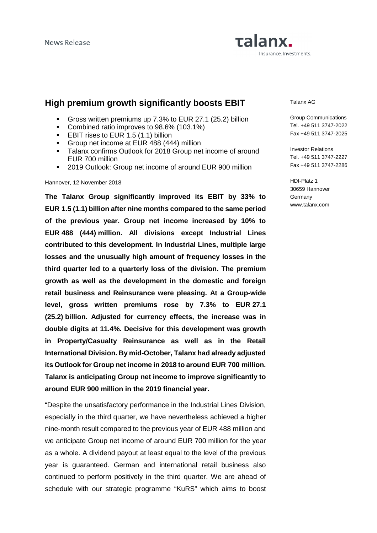# Talanx. Insurance. Investments.

## **High premium growth significantly boosts EBIT**

- Gross written premiums up 7.3% to EUR 27.1 (25.2) billion
- Combined ratio improves to 98.6% (103.1%)
- **EBIT rises to EUR 1.5 (1.1) billion**
- Group net income at EUR 488 (444) million
- **Talanx confirms Outlook for 2018 Group net income of around** EUR 700 million
- **2019 Outlook: Group net income of around EUR 900 million**

#### Hannover, 12 November 2018

**The Talanx Group significantly improved its EBIT by 33% to EUR 1.5 (1.1) billion after nine months compared to the same period of the previous year. Group net income increased by 10% to EUR 488 (444) million. All divisions except Industrial Lines contributed to this development. In Industrial Lines, multiple large losses and the unusually high amount of frequency losses in the third quarter led to a quarterly loss of the division. The premium growth as well as the development in the domestic and foreign retail business and Reinsurance were pleasing. At a Group-wide level, gross written premiums rose by 7.3% to EUR 27.1 (25.2) billion. Adjusted for currency effects, the increase was in double digits at 11.4%. Decisive for this development was growth in Property/Casualty Reinsurance as well as in the Retail International Division. By mid-October, Talanx had already adjusted its Outlook for Group net income in 2018 to around EUR 700 million. Talanx is anticipating Group net income to improve significantly to around EUR 900 million in the 2019 financial year.** 

"Despite the unsatisfactory performance in the Industrial Lines Division, especially in the third quarter, we have nevertheless achieved a higher nine-month result compared to the previous year of EUR 488 million and we anticipate Group net income of around EUR 700 million for the year as a whole. A dividend payout at least equal to the level of the previous year is guaranteed. German and international retail business also continued to perform positively in the third quarter. We are ahead of schedule with our strategic programme "KuRS" which aims to boost

Talanx AG

Group Communications Tel. +49 511 3747-2022 Fax +49 511 3747-2025

Investor Relations Tel. +49 511 3747-2227 Fax +49 511 3747-2286

HDI-Platz 1 30659 Hannover Germany www.talanx.com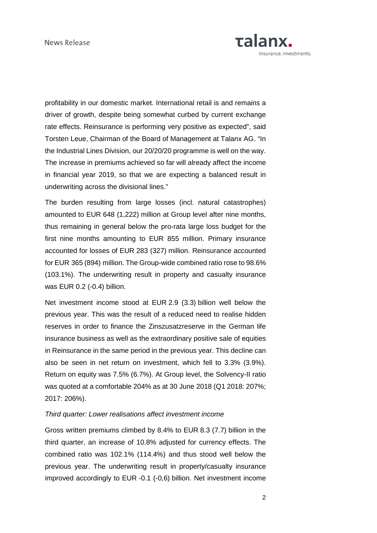

profitability in our domestic market. International retail is and remains a driver of growth, despite being somewhat curbed by current exchange rate effects. Reinsurance is performing very positive as expected", said Torsten Leue, Chairman of the Board of Management at Talanx AG. "In the Industrial Lines Division, our 20/20/20 programme is well on the way. The increase in premiums achieved so far will already affect the income in financial year 2019, so that we are expecting a balanced result in underwriting across the divisional lines."

The burden resulting from large losses (incl. natural catastrophes) amounted to EUR 648 (1,222) million at Group level after nine months, thus remaining in general below the pro-rata large loss budget for the first nine months amounting to EUR 855 million. Primary insurance accounted for losses of EUR 283 (327) million. Reinsurance accounted for EUR 365 (894) million. The Group-wide combined ratio rose to 98.6% (103.1%). The underwriting result in property and casualty insurance was EUR 0.2 (-0.4) billion.

Net investment income stood at EUR 2.9 (3.3) billion well below the previous year. This was the result of a reduced need to realise hidden reserves in order to finance the Zinszusatzreserve in the German life insurance business as well as the extraordinary positive sale of equities in Reinsurance in the same period in the previous year. This decline can also be seen in net return on investment, which fell to 3.3% (3.9%). Return on equity was 7.5% (6.7%). At Group level, the Solvency-II ratio was quoted at a comfortable 204% as at 30 June 2018 (Q1 2018: 207%; 2017: 206%).

#### Third quarter: Lower realisations affect investment income

Gross written premiums climbed by 8.4% to EUR 8.3 (7.7) billion in the third quarter, an increase of 10.8% adjusted for currency effects. The combined ratio was 102.1% (114.4%) and thus stood well below the previous year. The underwriting result in property/casualty insurance improved accordingly to EUR -0.1 (-0,6) billion. Net investment income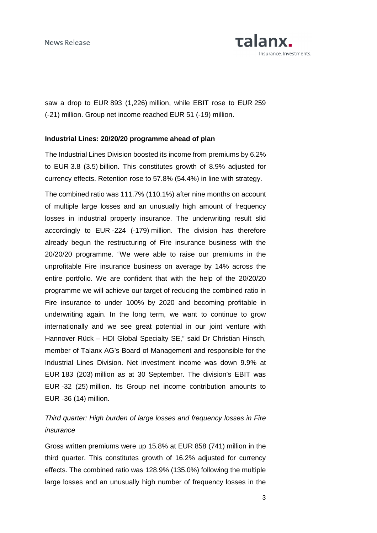

saw a drop to EUR 893 (1,226) million, while EBIT rose to EUR 259 (-21) million. Group net income reached EUR 51 (-19) million.

#### **Industrial Lines: 20/20/20 programme ahead of plan**

The Industrial Lines Division boosted its income from premiums by 6.2% to EUR 3.8 (3.5) billion. This constitutes growth of 8.9% adjusted for currency effects. Retention rose to 57.8% (54.4%) in line with strategy.

The combined ratio was 111.7% (110.1%) after nine months on account of multiple large losses and an unusually high amount of frequency losses in industrial property insurance. The underwriting result slid accordingly to EUR -224 (-179) million. The division has therefore already begun the restructuring of Fire insurance business with the 20/20/20 programme. "We were able to raise our premiums in the unprofitable Fire insurance business on average by 14% across the entire portfolio. We are confident that with the help of the 20/20/20 programme we will achieve our target of reducing the combined ratio in Fire insurance to under 100% by 2020 and becoming profitable in underwriting again. In the long term, we want to continue to grow internationally and we see great potential in our joint venture with Hannover Rück – HDI Global Specialty SE," said Dr Christian Hinsch, member of Talanx AG's Board of Management and responsible for the Industrial Lines Division. Net investment income was down 9.9% at EUR 183 (203) million as at 30 September. The division's EBIT was EUR -32 (25) million. Its Group net income contribution amounts to EUR -36 (14) million.

### Third quarter: High burden of large losses and frequency losses in Fire insurance

Gross written premiums were up 15.8% at EUR 858 (741) million in the third quarter. This constitutes growth of 16.2% adjusted for currency effects. The combined ratio was 128.9% (135.0%) following the multiple large losses and an unusually high number of frequency losses in the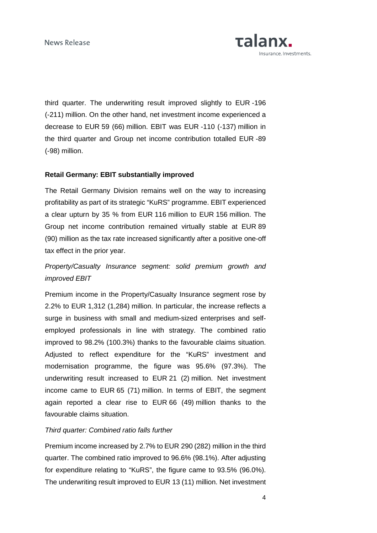

third quarter. The underwriting result improved slightly to EUR -196 (-211) million. On the other hand, net investment income experienced a decrease to EUR 59 (66) million. EBIT was EUR -110 (-137) million in the third quarter and Group net income contribution totalled EUR -89 (-98) million.

### **Retail Germany: EBIT substantially improved**

The Retail Germany Division remains well on the way to increasing profitability as part of its strategic "KuRS" programme. EBIT experienced a clear upturn by 35 % from EUR 116 million to EUR 156 million. The Group net income contribution remained virtually stable at EUR 89 (90) million as the tax rate increased significantly after a positive one-off tax effect in the prior year.

## Property/Casualty Insurance segment: solid premium growth and improved EBIT

Premium income in the Property/Casualty Insurance segment rose by 2.2% to EUR 1,312 (1,284) million. In particular, the increase reflects a surge in business with small and medium-sized enterprises and selfemployed professionals in line with strategy. The combined ratio improved to 98.2% (100.3%) thanks to the favourable claims situation. Adjusted to reflect expenditure for the "KuRS" investment and modernisation programme, the figure was 95.6% (97.3%). The underwriting result increased to EUR 21 (2) million. Net investment income came to EUR 65 (71) million. In terms of EBIT, the segment again reported a clear rise to EUR 66 (49) million thanks to the favourable claims situation.

#### Third quarter: Combined ratio falls further

Premium income increased by 2.7% to EUR 290 (282) million in the third quarter. The combined ratio improved to 96.6% (98.1%). After adjusting for expenditure relating to "KuRS", the figure came to 93.5% (96.0%). The underwriting result improved to EUR 13 (11) million. Net investment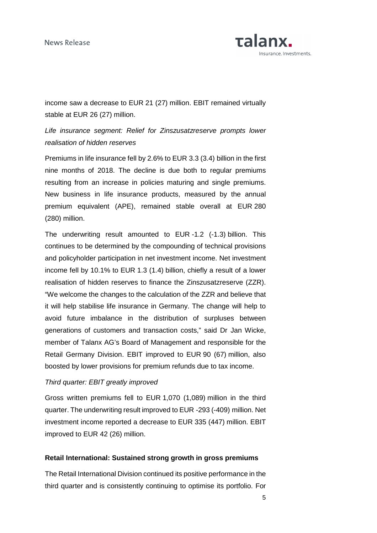**News Release** 



income saw a decrease to EUR 21 (27) million. EBIT remained virtually stable at EUR 26 (27) million.

## Life insurance segment: Relief for Zinszusatzreserve prompts lower realisation of hidden reserves

Premiums in life insurance fell by 2.6% to EUR 3.3 (3.4) billion in the first nine months of 2018. The decline is due both to regular premiums resulting from an increase in policies maturing and single premiums. New business in life insurance products, measured by the annual premium equivalent (APE), remained stable overall at EUR 280 (280) million.

The underwriting result amounted to EUR -1.2 (-1.3) billion. This continues to be determined by the compounding of technical provisions and policyholder participation in net investment income. Net investment income fell by 10.1% to EUR 1.3 (1.4) billion, chiefly a result of a lower realisation of hidden reserves to finance the Zinszusatzreserve (ZZR). "We welcome the changes to the calculation of the ZZR and believe that it will help stabilise life insurance in Germany. The change will help to avoid future imbalance in the distribution of surpluses between generations of customers and transaction costs," said Dr Jan Wicke, member of Talanx AG's Board of Management and responsible for the Retail Germany Division. EBIT improved to EUR 90 (67) million, also boosted by lower provisions for premium refunds due to tax income.

#### Third quarter: EBIT greatly improved

Gross written premiums fell to EUR 1,070 (1,089) million in the third quarter. The underwriting result improved to EUR -293 (-409) million. Net investment income reported a decrease to EUR 335 (447) million. EBIT improved to EUR 42 (26) million.

#### **Retail International: Sustained strong growth in gross premiums**

The Retail International Division continued its positive performance in the third quarter and is consistently continuing to optimise its portfolio. For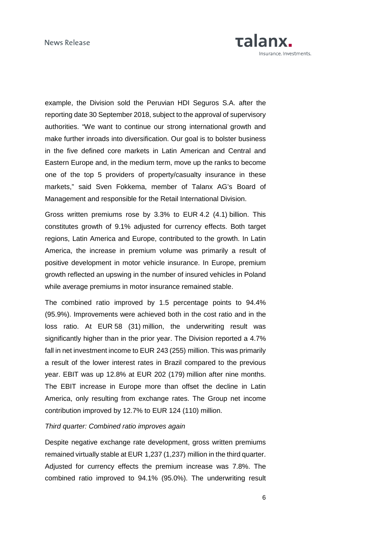

example, the Division sold the Peruvian HDI Seguros S.A. after the reporting date 30 September 2018, subject to the approval of supervisory authorities. "We want to continue our strong international growth and make further inroads into diversification. Our goal is to bolster business in the five defined core markets in Latin American and Central and Eastern Europe and, in the medium term, move up the ranks to become one of the top 5 providers of property/casualty insurance in these markets," said Sven Fokkema, member of Talanx AG's Board of Management and responsible for the Retail International Division.

Gross written premiums rose by 3.3% to EUR 4.2 (4.1) billion. This constitutes growth of 9.1% adjusted for currency effects. Both target regions, Latin America and Europe, contributed to the growth. In Latin America, the increase in premium volume was primarily a result of positive development in motor vehicle insurance. In Europe, premium growth reflected an upswing in the number of insured vehicles in Poland while average premiums in motor insurance remained stable.

The combined ratio improved by 1.5 percentage points to 94.4% (95.9%). Improvements were achieved both in the cost ratio and in the loss ratio. At EUR 58 (31) million, the underwriting result was significantly higher than in the prior year. The Division reported a 4.7% fall in net investment income to EUR 243 (255) million. This was primarily a result of the lower interest rates in Brazil compared to the previous year. EBIT was up 12.8% at EUR 202 (179) million after nine months. The EBIT increase in Europe more than offset the decline in Latin America, only resulting from exchange rates. The Group net income contribution improved by 12.7% to EUR 124 (110) million.

### Third quarter: Combined ratio improves again

Despite negative exchange rate development, gross written premiums remained virtually stable at EUR 1,237 (1,237) million in the third quarter. Adjusted for currency effects the premium increase was 7.8%. The combined ratio improved to 94.1% (95.0%). The underwriting result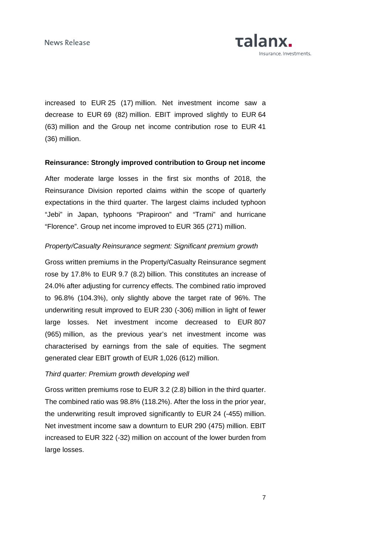Talanx. nsurance. Investments.

increased to EUR 25 (17) million. Net investment income saw a decrease to EUR 69 (82) million. EBIT improved slightly to EUR 64 (63) million and the Group net income contribution rose to EUR 41 (36) million.

### **Reinsurance: Strongly improved contribution to Group net income**

After moderate large losses in the first six months of 2018, the Reinsurance Division reported claims within the scope of quarterly expectations in the third quarter. The largest claims included typhoon "Jebi" in Japan, typhoons "Prapiroon" and "Trami" and hurricane "Florence". Group net income improved to EUR 365 (271) million.

#### Property/Casualty Reinsurance segment: Significant premium growth

Gross written premiums in the Property/Casualty Reinsurance segment rose by 17.8% to EUR 9.7 (8.2) billion. This constitutes an increase of 24.0% after adjusting for currency effects. The combined ratio improved to 96.8% (104.3%), only slightly above the target rate of 96%. The underwriting result improved to EUR 230 (-306) million in light of fewer large losses. Net investment income decreased to EUR 807 (965) million, as the previous year's net investment income was characterised by earnings from the sale of equities. The segment generated clear EBIT growth of EUR 1,026 (612) million.

#### Third quarter: Premium growth developing well

Gross written premiums rose to EUR 3.2 (2.8) billion in the third quarter. The combined ratio was 98.8% (118.2%). After the loss in the prior year, the underwriting result improved significantly to EUR 24 (-455) million. Net investment income saw a downturn to EUR 290 (475) million. EBIT increased to EUR 322 (-32) million on account of the lower burden from large losses.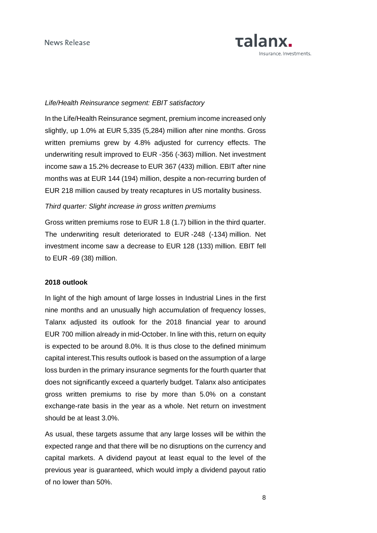

#### Life/Health Reinsurance segment: EBIT satisfactory

In the Life/Health Reinsurance segment, premium income increased only slightly, up 1.0% at EUR 5,335 (5,284) million after nine months. Gross written premiums grew by 4.8% adjusted for currency effects. The underwriting result improved to EUR -356 (-363) million. Net investment income saw a 15.2% decrease to EUR 367 (433) million. EBIT after nine months was at EUR 144 (194) million, despite a non-recurring burden of EUR 218 million caused by treaty recaptures in US mortality business.

#### Third quarter: Slight increase in gross written premiums

Gross written premiums rose to EUR 1.8 (1.7) billion in the third quarter. The underwriting result deteriorated to EUR -248 (-134) million. Net investment income saw a decrease to EUR 128 (133) million. EBIT fell to EUR -69 (38) million.

#### **2018 outlook**

In light of the high amount of large losses in Industrial Lines in the first nine months and an unusually high accumulation of frequency losses, Talanx adjusted its outlook for the 2018 financial year to around EUR 700 million already in mid-October. In line with this, return on equity is expected to be around 8.0%. It is thus close to the defined minimum capital interest.This results outlook is based on the assumption of a large loss burden in the primary insurance segments for the fourth quarter that does not significantly exceed a quarterly budget. Talanx also anticipates gross written premiums to rise by more than 5.0% on a constant exchange-rate basis in the year as a whole. Net return on investment should be at least 3.0%.

As usual, these targets assume that any large losses will be within the expected range and that there will be no disruptions on the currency and capital markets. A dividend payout at least equal to the level of the previous year is guaranteed, which would imply a dividend payout ratio of no lower than 50%.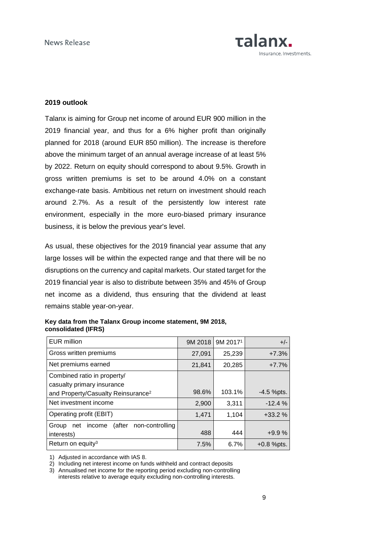

#### **2019 outlook**

Talanx is aiming for Group net income of around EUR 900 million in the 2019 financial year, and thus for a 6% higher profit than originally planned for 2018 (around EUR 850 million). The increase is therefore above the minimum target of an annual average increase of at least 5% by 2022. Return on equity should correspond to about 9.5%. Growth in gross written premiums is set to be around 4.0% on a constant exchange-rate basis. Ambitious net return on investment should reach around 2.7%. As a result of the persistently low interest rate environment, especially in the more euro-biased primary insurance business, it is below the previous year's level.

As usual, these objectives for the 2019 financial year assume that any large losses will be within the expected range and that there will be no disruptions on the currency and capital markets. Our stated target for the 2019 financial year is also to distribute between 35% and 45% of Group net income as a dividend, thus ensuring that the dividend at least remains stable year-on-year.

| <b>EUR</b> million                                                | 9M 2018 | 9M 2017 <sup>1</sup> | $+/-$        |
|-------------------------------------------------------------------|---------|----------------------|--------------|
| Gross written premiums                                            | 27,091  | 25,239               | $+7.3%$      |
| Net premiums earned                                               | 21,841  | 20,285               | $+7.7%$      |
| Combined ratio in property/<br>casualty primary insurance         |         |                      |              |
| and Property/Casualty Reinsurance <sup>2</sup>                    | 98.6%   | 103.1%               | $-4.5$ %pts. |
| Net investment income                                             | 2,900   | 3,311                | $-12.4%$     |
| Operating profit (EBIT)                                           | 1,471   | 1,104                | $+33.2%$     |
| (after<br>non-controlling<br>income<br>Group<br>net<br>interests) | 488     | 444                  | $+9.9%$      |
| Return on equity <sup>3</sup>                                     | 7.5%    | 6.7%                 | $+0.8$ %pts. |

**Key data from the Talanx Group income statement, 9M 2018, consolidated (IFRS)** 

1) Adjusted in accordance with IAS 8.

2) Including net interest income on funds withheld and contract deposits

3) Annualised net income for the reporting period excluding non-controlling interests relative to average equity excluding non-controlling interests.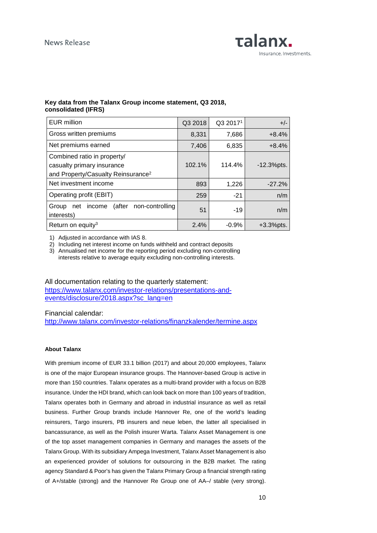

#### **Key data from the Talanx Group income statement, Q3 2018, consolidated (IFRS)**

| <b>EUR million</b>                                                                                          | Q3 2018 | Q3 2017 <sup>1</sup> | $+/-$         |
|-------------------------------------------------------------------------------------------------------------|---------|----------------------|---------------|
| Gross written premiums                                                                                      | 8,331   | 7,686                | $+8.4%$       |
| Net premiums earned                                                                                         | 7,406   | 6,835                | $+8.4%$       |
| Combined ratio in property/<br>casualty primary insurance<br>and Property/Casualty Reinsurance <sup>2</sup> | 102.1%  | 114.4%               | $-12.3%$ pts. |
| Net investment income                                                                                       | 893     | 1,226                | $-27.2%$      |
| Operating profit (EBIT)                                                                                     | 259     | $-21$                | n/m           |
| (after<br>non-controlling<br>Group<br>income<br>net<br>interests)                                           | 51      | $-19$                | n/m           |
| Return on equity <sup>3</sup>                                                                               | 2.4%    | $-0.9%$              | $+3.3%$ pts.  |

1) Adjusted in accordance with IAS 8.

2) Including net interest income on funds withheld and contract deposits

3) Annualised net income for the reporting period excluding non-controlling interests relative to average equity excluding non-controlling interests.

All documentation relating to the quarterly statement: https://www.talanx.com/investor-relations/presentations-andevents/disclosure/2018.aspx?sc\_lang=en

Financial calendar:

http://www.talanx.com/investor-relations/finanzkalender/termine.aspx

#### **About Talanx**

With premium income of EUR 33.1 billion (2017) and about 20,000 employees, Talanx is one of the major European insurance groups. The Hannover-based Group is active in more than 150 countries. Talanx operates as a multi-brand provider with a focus on B2B insurance. Under the HDI brand, which can look back on more than 100 years of tradition, Talanx operates both in Germany and abroad in industrial insurance as well as retail business. Further Group brands include Hannover Re, one of the world's leading reinsurers, Targo insurers, PB insurers and neue leben, the latter all specialised in bancassurance, as well as the Polish insurer Warta. Talanx Asset Management is one of the top asset management companies in Germany and manages the assets of the Talanx Group. With its subsidiary Ampega Investment, Talanx Asset Management is also an experienced provider of solutions for outsourcing in the B2B market. The rating agency Standard & Poor's has given the Talanx Primary Group a financial strength rating of A+/stable (strong) and the Hannover Re Group one of AA–/ stable (very strong).